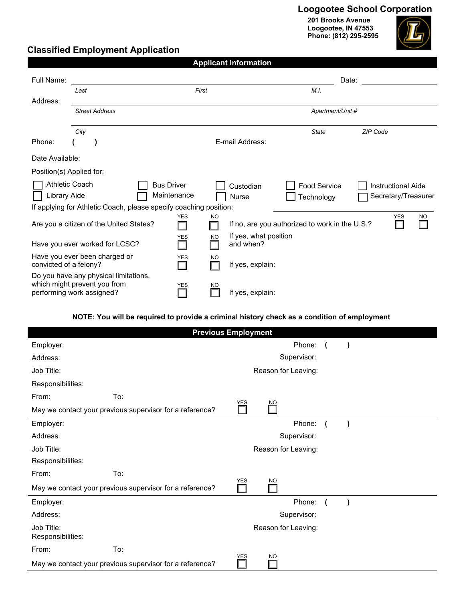## **Loogootee School Corporation**

**201 Brooks Avenue Loogootee, IN 47553 Phone: (812) 295-2595**



### **Classified Employment Application**

| <b>Applicant Information</b>                                      |                                                                                                    |                                  |                                                 |                                                |                                                  |  |  |  |  |  |
|-------------------------------------------------------------------|----------------------------------------------------------------------------------------------------|----------------------------------|-------------------------------------------------|------------------------------------------------|--------------------------------------------------|--|--|--|--|--|
| Full Name:                                                        |                                                                                                    |                                  |                                                 | Date:                                          |                                                  |  |  |  |  |  |
|                                                                   | Last                                                                                               | First                            |                                                 | M.I.                                           |                                                  |  |  |  |  |  |
| Address:                                                          |                                                                                                    |                                  |                                                 |                                                |                                                  |  |  |  |  |  |
|                                                                   | <b>Street Address</b>                                                                              |                                  |                                                 | Apartment/Unit #                               |                                                  |  |  |  |  |  |
|                                                                   | City                                                                                               |                                  |                                                 | <b>State</b>                                   | ZIP Code                                         |  |  |  |  |  |
| Phone:                                                            |                                                                                                    |                                  | E-mail Address:                                 |                                                |                                                  |  |  |  |  |  |
| Date Available:                                                   |                                                                                                    |                                  |                                                 |                                                |                                                  |  |  |  |  |  |
| Position(s) Applied for:                                          |                                                                                                    |                                  |                                                 |                                                |                                                  |  |  |  |  |  |
| <b>Athletic Coach</b><br>Library Aide                             |                                                                                                    | <b>Bus Driver</b><br>Maintenance | Custodian<br>Nurse                              | Food Service<br>Technology                     | <b>Instructional Aide</b><br>Secretary/Treasurer |  |  |  |  |  |
| If applying for Athletic Coach, please specify coaching position: |                                                                                                    |                                  |                                                 |                                                |                                                  |  |  |  |  |  |
|                                                                   | Are you a citizen of the United States?                                                            | <b>YES</b>                       | N <sub>O</sub>                                  | If no, are you authorized to work in the U.S.? | <b>YES</b><br><b>NO</b>                          |  |  |  |  |  |
|                                                                   | Have you ever worked for LCSC?                                                                     | <b>YES</b>                       | If yes, what position<br><b>NO</b><br>and when? |                                                |                                                  |  |  |  |  |  |
| convicted of a felony?                                            | Have you ever been charged or                                                                      | <b>YES</b>                       | N <sub>O</sub><br>If yes, explain:              |                                                |                                                  |  |  |  |  |  |
|                                                                   | Do you have any physical limitations,<br>which might prevent you from<br>performing work assigned? | <b>YES</b>                       | N <sub>O</sub><br>If yes, explain:              |                                                |                                                  |  |  |  |  |  |

#### **NOTE: You will be required to provide a criminal history check as a condition of employment**

| <b>Previous Employment</b>                               |     |            |                     |  |           |  |  |  |  |
|----------------------------------------------------------|-----|------------|---------------------|--|-----------|--|--|--|--|
| Employer:                                                |     |            | Phone:              |  |           |  |  |  |  |
| Address:                                                 |     |            | Supervisor:         |  |           |  |  |  |  |
| Job Title:                                               |     |            | Reason for Leaving: |  |           |  |  |  |  |
| Responsibilities:                                        |     |            |                     |  |           |  |  |  |  |
| From:                                                    | To: | <b>YES</b> | <b>NO</b>           |  |           |  |  |  |  |
| May we contact your previous supervisor for a reference? |     |            |                     |  |           |  |  |  |  |
| Employer:                                                |     |            | Phone:              |  |           |  |  |  |  |
| Address:                                                 |     |            | Supervisor:         |  |           |  |  |  |  |
| Job Title:                                               |     |            | Reason for Leaving: |  |           |  |  |  |  |
| Responsibilities:                                        |     |            |                     |  |           |  |  |  |  |
| From:                                                    | To: | <b>YES</b> |                     |  |           |  |  |  |  |
| May we contact your previous supervisor for a reference? |     |            | <b>NO</b>           |  |           |  |  |  |  |
| Employer:                                                |     |            | Phone:              |  | $\lambda$ |  |  |  |  |
| Address:                                                 |     |            | Supervisor:         |  |           |  |  |  |  |
| Job Title:<br>Responsibilities:                          |     |            | Reason for Leaving: |  |           |  |  |  |  |
| From:                                                    | To: |            |                     |  |           |  |  |  |  |
| May we contact your previous supervisor for a reference? |     | <b>YES</b> | <b>NO</b>           |  |           |  |  |  |  |